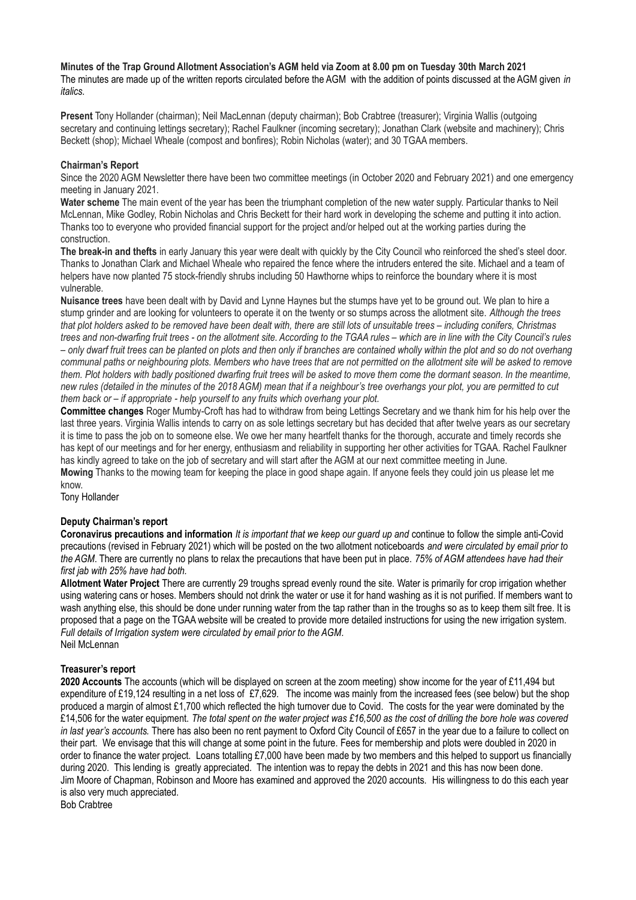**Minutes of the Trap Ground Allotment Association's AGM held via Zoom at 8.00 pm on Tuesday 30th March 2021** The minutes are made up of the written reports circulated before the AGM with the addition of points discussed at the AGM given *in italics.*

**Present** Tony Hollander (chairman); Neil MacLennan (deputy chairman); Bob Crabtree (treasurer); Virginia Wallis (outgoing secretary and continuing lettings secretary); Rachel Faulkner (incoming secretary); Jonathan Clark (website and machinery); Chris Beckett (shop); Michael Wheale (compost and bonfires); Robin Nicholas (water); and 30 TGAA members.

### **Chairman's Report**

Since the 2020 AGM Newsletter there have been two committee meetings (in October 2020 and February 2021) and one emergency meeting in January 2021.

**Water scheme** The main event of the year has been the triumphant completion of the new water supply. Particular thanks to Neil McLennan, Mike Godley, Robin Nicholas and Chris Beckett for their hard work in developing the scheme and putting it into action. Thanks too to everyone who provided financial support for the project and/or helped out at the working parties during the construction.

**The break-in and thefts** in early January this year were dealt with quickly by the City Council who reinforced the shed's steel door. Thanks to Jonathan Clark and Michael Wheale who repaired the fence where the intruders entered the site. Michael and a team of helpers have now planted 75 stock-friendly shrubs including 50 Hawthorne whips to reinforce the boundary where it is most vulnerable.

**Nuisance trees** have been dealt with by David and Lynne Haynes but the stumps have yet to be ground out. We plan to hire a stump grinder and are looking for volunteers to operate it on the twenty or so stumps across the allotment site. *Although the trees that plot holders asked to be removed have been dealt with, there are still lots of unsuitable trees – including conifers, Christmas trees and non-dwarfing fruit trees - on the allotment site. According to the TGAA rules – which are in line with the City Council's rules – only dwarf fruit trees can be planted on plots and then only if branches are contained wholly within the plot and so do not overhang communal paths or neighbouring plots. Members who have trees that are not permitted on the allotment site will be asked to remove them. Plot holders with badly positioned dwarfing fruit trees will be asked to move them come the dormant season. In the meantime, new rules (detailed in the minutes of the 2018 AGM) mean that if a neighbour's tree overhangs your plot, you are permitted to cut them back or – if appropriate - help yourself to any fruits which overhang your plot.*

**Committee changes** Roger Mumby-Croft has had to withdraw from being Lettings Secretary and we thank him for his help over the last three years. Virginia Wallis intends to carry on as sole lettings secretary but has decided that after twelve years as our secretary it is time to pass the job on to someone else. We owe her many heartfelt thanks for the thorough, accurate and timely records she has kept of our meetings and for her energy, enthusiasm and reliability in supporting her other activities for TGAA. Rachel Faulkner has kindly agreed to take on the job of secretary and will start after the AGM at our next committee meeting in June.

**Mowing** Thanks to the mowing team for keeping the place in good shape again. If anyone feels they could join us please let me know.

Tony Hollander

## **Deputy Chairman's report**

**Coronavirus precautions and information** *It is important that we keep our guard up and* continue to follow the simple anti-Covid precautions (revised in February 2021) which will be posted on the two allotment noticeboards *and were circulated by email prior to the AGM*. There are currently no plans to relax the precautions that have been put in place. *75% of AGM attendees have had their first jab with 25% have had both.* 

**Allotment Water Project** There are currently 29 troughs spread evenly round the site. Water is primarily for crop irrigation whether using watering cans or hoses. Members should not drink the water or use it for hand washing as it is not purified. If members want to wash anything else, this should be done under running water from the tap rather than in the troughs so as to keep them silt free. It is proposed that a page on the TGAA website will be created to provide more detailed instructions for using the new irrigation system. *Full details of Irrigation system were circulated by email prior to the AGM.* Neil McLennan

### **Treasurer's report**

**2020 Accounts** The accounts (which will be displayed on screen at the zoom meeting) show income for the year of £11,494 but expenditure of £19,124 resulting in a net loss of £7,629. The income was mainly from the increased fees (see below) but the shop produced a margin of almost £1,700 which reflected the high turnover due to Covid. The costs for the year were dominated by the £14,506 for the water equipment. *The total spent on the water project was £16,500 as the cost of drilling the bore hole was covered in last year's accounts.* There has also been no rent payment to Oxford City Council of £657 in the year due to a failure to collect on their part. We envisage that this will change at some point in the future. Fees for membership and plots were doubled in 2020 in order to finance the water project. Loans totalling £7,000 have been made by two members and this helped to support us financially during 2020. This lending is greatly appreciated. The intention was to repay the debts in 2021 and this has now been done. Jim Moore of Chapman, Robinson and Moore has examined and approved the 2020 accounts. His willingness to do this each year is also very much appreciated.

Bob Crabtree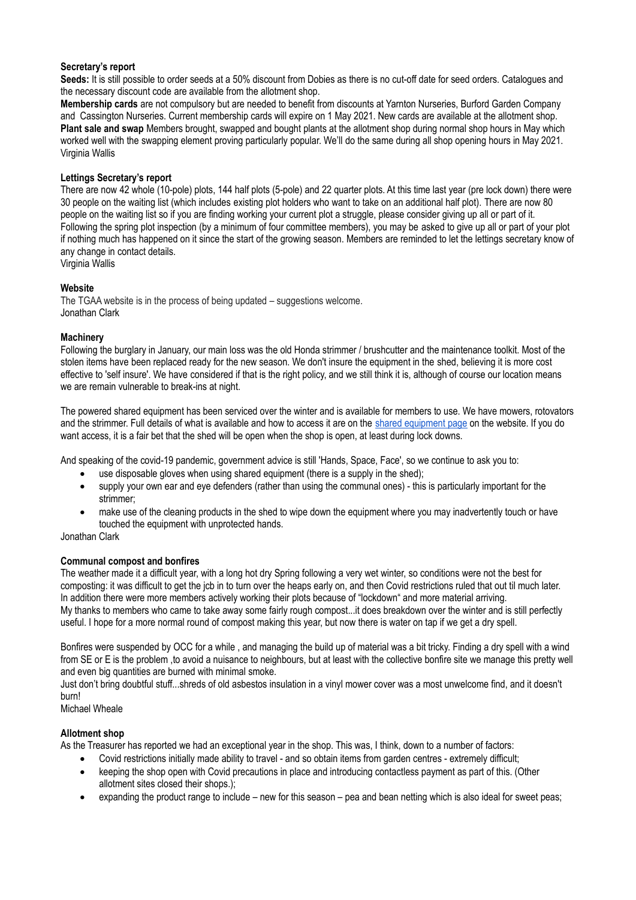### **Secretary's report**

**Seeds:** It is still possible to order seeds at a 50% discount from Dobies as there is no cut-off date for seed orders. Catalogues and the necessary discount code are available from the allotment shop.

**Membership cards** are not compulsory but are needed to benefit from discounts at Yarnton Nurseries, Burford Garden Company and Cassington Nurseries. Current membership cards will expire on 1 May 2021. New cards are available at the allotment shop. **Plant sale and swap** Members brought, swapped and bought plants at the allotment shop during normal shop hours in May which worked well with the swapping element proving particularly popular. We'll do the same during all shop opening hours in May 2021. Virginia Wallis

# **Lettings Secretary's report**

There are now 42 whole (10-pole) plots, 144 half plots (5-pole) and 22 quarter plots. At this time last year (pre lock down) there were 30 people on the waiting list (which includes existing plot holders who want to take on an additional half plot). There are now 80 people on the waiting list so if you are finding working your current plot a struggle, please consider giving up all or part of it. Following the spring plot inspection (by a minimum of four committee members), you may be asked to give up all or part of your plot if nothing much has happened on it since the start of the growing season. Members are reminded to let the lettings secretary know of any change in contact details.

Virginia Wallis

### **Website**

The TGAA website is in the process of being updated – suggestions welcome. Jonathan Clark

### **Machinery**

Following the burglary in January, our main loss was the old Honda strimmer / brushcutter and the maintenance toolkit. Most of the stolen items have been replaced ready for the new season. We don't insure the equipment in the shed, believing it is more cost effective to 'self insure'. We have considered if that is the right policy, and we still think it is, although of course our location means we are remain vulnerable to break-ins at night.

The powered shared equipment has been serviced over the winter and is available for members to use. We have mowers, rotovators and the strimmer. Full details of what is available and how to access it are on the [shared equipment page](http://www.trapgroundallotments.org.uk/shared-equipment) on the website. If you do want access, it is a fair bet that the shed will be open when the shop is open, at least during lock downs.

And speaking of the covid-19 pandemic, government advice is still 'Hands, Space, Face', so we continue to ask you to:

- use disposable gloves when using shared equipment (there is a supply in the shed);
- supply your own ear and eye defenders (rather than using the communal ones) this is particularly important for the strimmer;
- make use of the cleaning products in the shed to wipe down the equipment where you may inadvertently touch or have touched the equipment with unprotected hands.

Jonathan Clark

### **Communal compost and bonfires**

The weather made it a difficult year, with a long hot dry Spring following a very wet winter, so conditions were not the best for composting: it was difficult to get the jcb in to turn over the heaps early on, and then Covid restrictions ruled that out til much later. In addition there were more members actively working their plots because of "lockdown" and more material arriving. My thanks to members who came to take away some fairly rough compost...it does breakdown over the winter and is still perfectly useful. I hope for a more normal round of compost making this year, but now there is water on tap if we get a dry spell.

Bonfires were suspended by OCC for a while , and managing the build up of material was a bit tricky. Finding a dry spell with a wind from SE or E is the problem ,to avoid a nuisance to neighbours, but at least with the collective bonfire site we manage this pretty well and even big quantities are burned with minimal smoke.

Just don't bring doubtful stuff...shreds of old asbestos insulation in a vinyl mower cover was a most unwelcome find, and it doesn't burn!

Michael Wheale

### **Allotment shop**

As the Treasurer has reported we had an exceptional year in the shop. This was, I think, down to a number of factors:

- Covid restrictions initially made ability to travel and so obtain items from garden centres extremely difficult;
- keeping the shop open with Covid precautions in place and introducing contactless payment as part of this. (Other allotment sites closed their shops.);
- expanding the product range to include new for this season pea and bean netting which is also ideal for sweet peas;